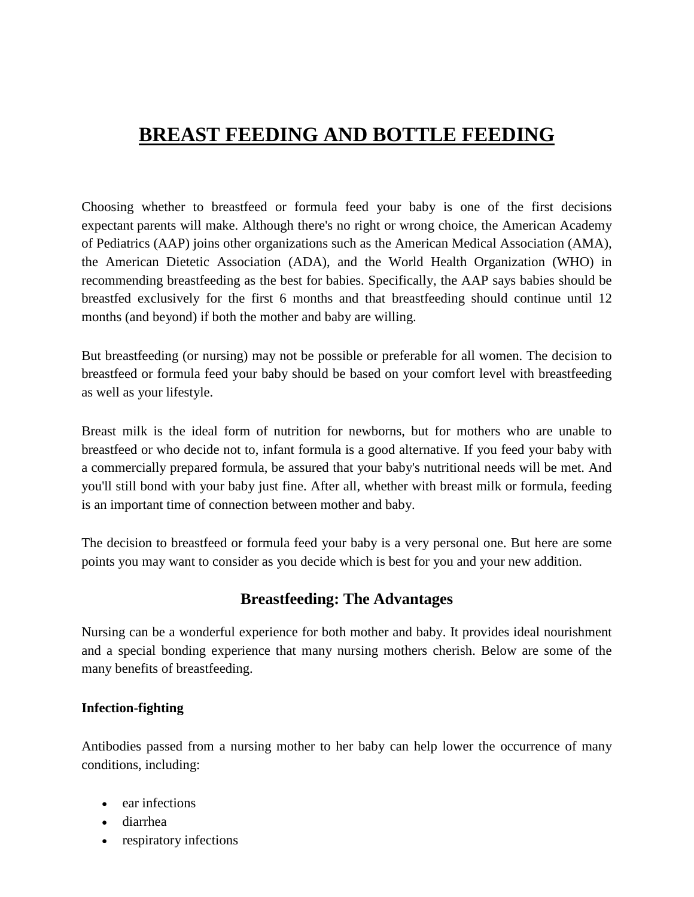# **BREAST FEEDING AND BOTTLE FEEDING**

Choosing whether to breastfeed or formula feed your baby is one of the first decisions expectant parents will make. Although there's no right or wrong choice, the American Academy of Pediatrics (AAP) joins other organizations such as the American Medical Association (AMA), the American Dietetic Association (ADA), and the World Health Organization (WHO) in recommending breastfeeding as the best for babies. Specifically, the AAP says babies should be breastfed exclusively for the first 6 months and that breastfeeding should continue until 12 months (and beyond) if both the mother and baby are willing.

But breastfeeding (or nursing) may not be possible or preferable for all women. The decision to breastfeed or formula feed your baby should be based on your comfort level with breastfeeding as well as your lifestyle.

Breast milk is the ideal form of nutrition for newborns, but for mothers who are unable to breastfeed or who decide not to, infant formula is a good alternative. If you feed your baby with a commercially prepared formula, be assured that your baby's nutritional needs will be met. And you'll still bond with your baby just fine. After all, whether with breast milk or formula, feeding is an important time of connection between mother and baby.

The decision to breastfeed or formula feed your baby is a very personal one. But here are some points you may want to consider as you decide which is best for you and your new addition.

# **Breastfeeding: The Advantages**

Nursing can be a wonderful experience for both mother and baby. It provides ideal nourishment and a special bonding experience that many nursing mothers cherish. Below are some of the many benefits of breastfeeding.

#### **Infection-fighting**

Antibodies passed from a nursing mother to her baby can help lower the occurrence of many conditions, including:

- ear infections
- diarrhea
- respiratory infections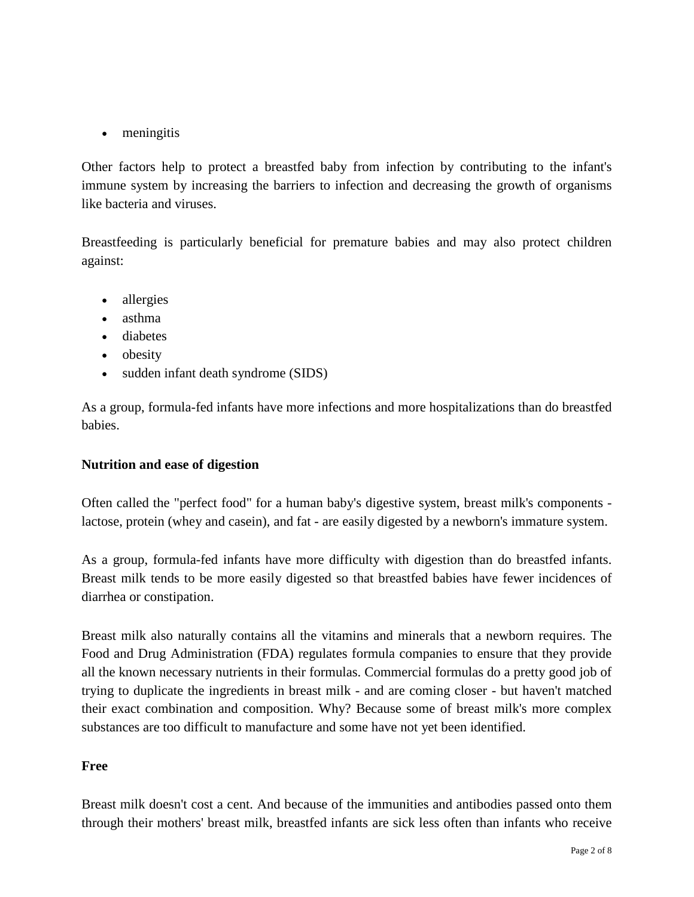• meningitis

Other factors help to protect a breastfed baby from infection by contributing to the infant's immune system by increasing the barriers to infection and decreasing the growth of organisms like bacteria and viruses.

Breastfeeding is particularly beneficial for premature babies and may also protect children against:

- allergies
- asthma
- diabetes
- obesity
- sudden infant death syndrome (SIDS)

As a group, formula-fed infants have more infections and more hospitalizations than do breastfed babies.

#### **Nutrition and ease of digestion**

Often called the "perfect food" for a human baby's digestive system, breast milk's components lactose, protein (whey and casein), and fat - are easily digested by a newborn's immature system.

As a group, formula-fed infants have more difficulty with digestion than do breastfed infants. Breast milk tends to be more easily digested so that breastfed babies have fewer incidences of diarrhea or constipation.

Breast milk also naturally contains all the vitamins and minerals that a newborn requires. The Food and Drug Administration (FDA) regulates formula companies to ensure that they provide all the known necessary nutrients in their formulas. Commercial formulas do a pretty good job of trying to duplicate the ingredients in breast milk - and are coming closer - but haven't matched their exact combination and composition. Why? Because some of breast milk's more complex substances are too difficult to manufacture and some have not yet been identified.

# **Free**

Breast milk doesn't cost a cent. And because of the immunities and antibodies passed onto them through their mothers' breast milk, breastfed infants are sick less often than infants who receive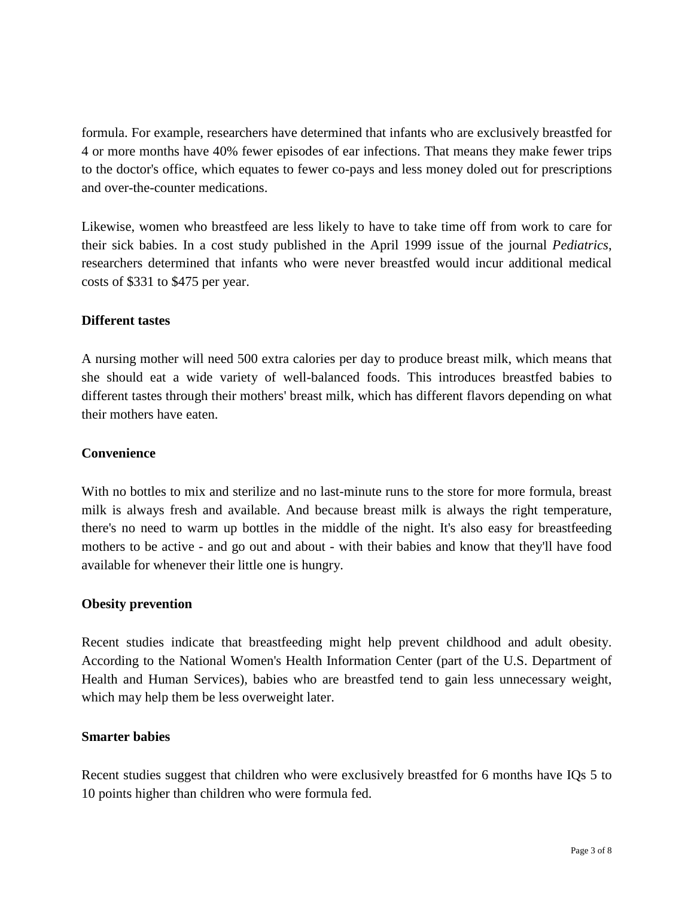formula. For example, researchers have determined that infants who are exclusively breastfed for 4 or more months have 40% fewer episodes of ear infections. That means they make fewer trips to the doctor's office, which equates to fewer co-pays and less money doled out for prescriptions and over-the-counter medications.

Likewise, women who breastfeed are less likely to have to take time off from work to care for their sick babies. In a cost study published in the April 1999 issue of the journal *Pediatrics*, researchers determined that infants who were never breastfed would incur additional medical costs of \$331 to \$475 per year.

## **Different tastes**

A nursing mother will need 500 extra calories per day to produce breast milk, which means that she should eat a wide variety of well-balanced foods. This introduces breastfed babies to different tastes through their mothers' breast milk, which has different flavors depending on what their mothers have eaten.

#### **Convenience**

With no bottles to mix and sterilize and no last-minute runs to the store for more formula, breast milk is always fresh and available. And because breast milk is always the right temperature, there's no need to warm up bottles in the middle of the night. It's also easy for breastfeeding mothers to be active - and go out and about - with their babies and know that they'll have food available for whenever their little one is hungry.

#### **Obesity prevention**

Recent studies indicate that breastfeeding might help prevent childhood and adult obesity. According to the National Women's Health Information Center (part of the U.S. Department of Health and Human Services), babies who are breastfed tend to gain less unnecessary weight, which may help them be less overweight later.

#### **Smarter babies**

Recent studies suggest that children who were exclusively breastfed for 6 months have IQs 5 to 10 points higher than children who were formula fed.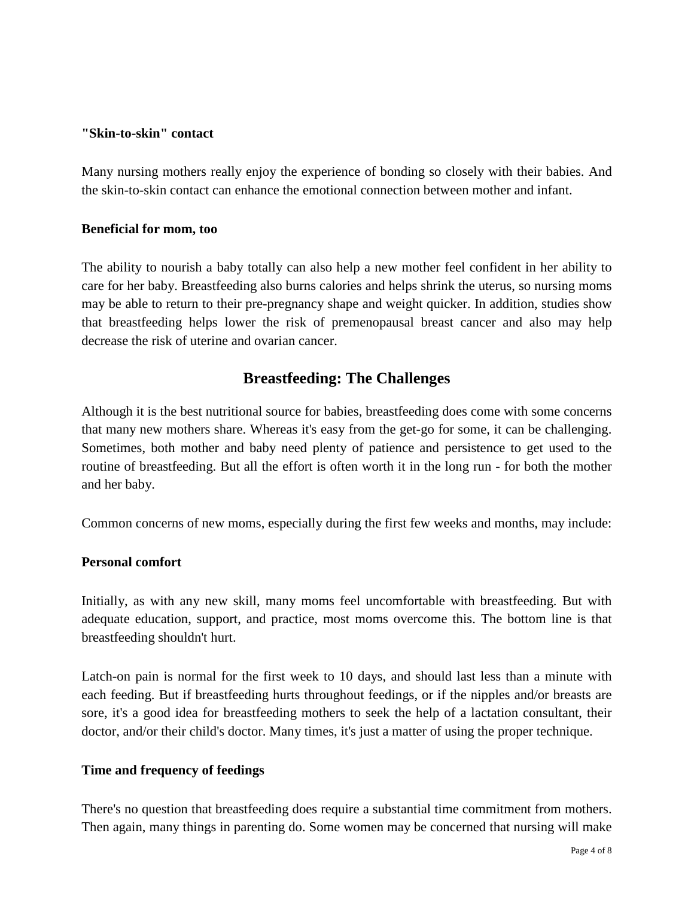#### **"Skin-to-skin" contact**

Many nursing mothers really enjoy the experience of bonding so closely with their babies. And the skin-to-skin contact can enhance the emotional connection between mother and infant.

#### **Beneficial for mom, too**

The ability to nourish a baby totally can also help a new mother feel confident in her ability to care for her baby. Breastfeeding also burns calories and helps shrink the uterus, so nursing moms may be able to return to their pre-pregnancy shape and weight quicker. In addition, studies show that breastfeeding helps lower the risk of premenopausal breast cancer and also may help decrease the risk of uterine and ovarian cancer.

# **Breastfeeding: The Challenges**

Although it is the best nutritional source for babies, breastfeeding does come with some concerns that many new mothers share. Whereas it's easy from the get-go for some, it can be challenging. Sometimes, both mother and baby need plenty of patience and persistence to get used to the routine of breastfeeding. But all the effort is often worth it in the long run - for both the mother and her baby.

Common concerns of new moms, especially during the first few weeks and months, may include:

#### **Personal comfort**

Initially, as with any new skill, many moms feel uncomfortable with breastfeeding. But with adequate education, support, and practice, most moms overcome this. The bottom line is that breastfeeding shouldn't hurt.

Latch-on pain is normal for the first week to 10 days, and should last less than a minute with each feeding. But if breastfeeding hurts throughout feedings, or if the nipples and/or breasts are sore, it's a good idea for breastfeeding mothers to seek the help of a lactation consultant, their doctor, and/or their child's doctor. Many times, it's just a matter of using the proper technique.

# **Time and frequency of feedings**

There's no question that breastfeeding does require a substantial time commitment from mothers. Then again, many things in parenting do. Some women may be concerned that nursing will make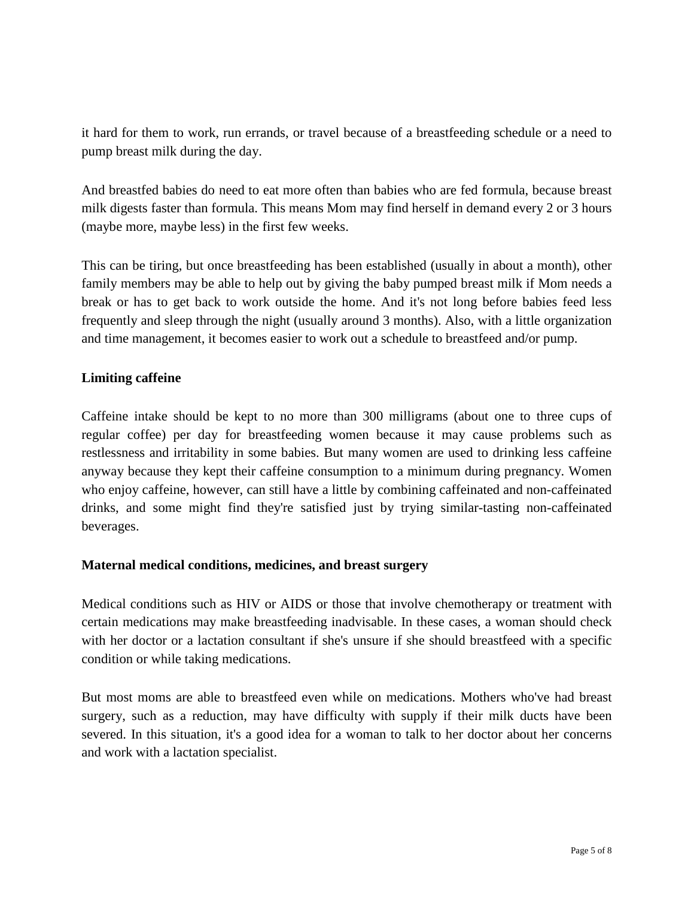it hard for them to work, run errands, or travel because of a breastfeeding schedule or a need to pump breast milk during the day.

And breastfed babies do need to eat more often than babies who are fed formula, because breast milk digests faster than formula. This means Mom may find herself in demand every 2 or 3 hours (maybe more, maybe less) in the first few weeks.

This can be tiring, but once breastfeeding has been established (usually in about a month), other family members may be able to help out by giving the baby pumped breast milk if Mom needs a break or has to get back to work outside the home. And it's not long before babies feed less frequently and sleep through the night (usually around 3 months). Also, with a little organization and time management, it becomes easier to work out a schedule to breastfeed and/or pump.

## **Limiting caffeine**

Caffeine intake should be kept to no more than 300 milligrams (about one to three cups of regular coffee) per day for breastfeeding women because it may cause problems such as restlessness and irritability in some babies. But many women are used to drinking less caffeine anyway because they kept their caffeine consumption to a minimum during pregnancy. Women who enjoy caffeine, however, can still have a little by combining caffeinated and non-caffeinated drinks, and some might find they're satisfied just by trying similar-tasting non-caffeinated beverages.

#### **Maternal medical conditions, medicines, and breast surgery**

Medical conditions such as HIV or AIDS or those that involve chemotherapy or treatment with certain medications may make breastfeeding inadvisable. In these cases, a woman should check with her doctor or a lactation consultant if she's unsure if she should breastfeed with a specific condition or while taking medications.

But most moms are able to breastfeed even while on medications. Mothers who've had breast surgery, such as a reduction, may have difficulty with supply if their milk ducts have been severed. In this situation, it's a good idea for a woman to talk to her doctor about her concerns and work with a lactation specialist.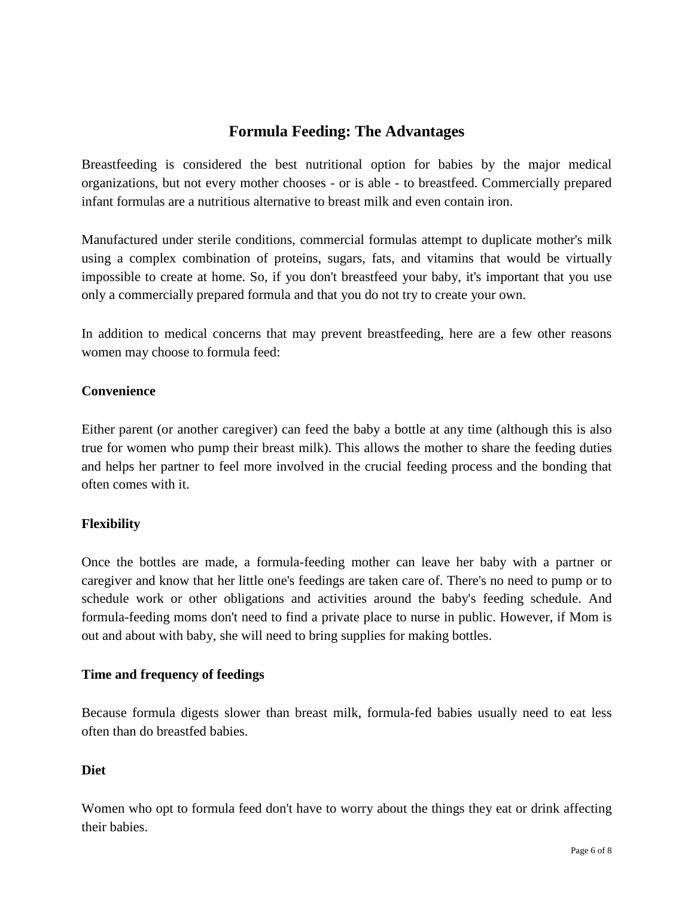# **Formula Feeding: The Advantages**

Breastfeeding is considered the best nutritional option for babies by the major medical organizations, but not every mother chooses - or is able - to breastfeed. Commercially prepared infant formulas are a nutritious alternative to breast milk and even contain iron.

Manufactured under sterile conditions, commercial formulas attempt to duplicate mother's milk using a complex combination of proteins, sugars, fats, and vitamins that would be virtually impossible to create at home. So, if you don't breastfeed your baby, it's important that you use only a commercially prepared formula and that you do not try to create your own.

In addition to medical concerns that may prevent breastfeeding, here are a few other reasons women may choose to formula feed:

## **Convenience**

Either parent (or another caregiver) can feed the baby a bottle at any time (although this is also true for women who pump their breast milk). This allows the mother to share the feeding duties and helps her partner to feel more involved in the crucial feeding process and the bonding that often comes with it.

# **Flexibility**

Once the bottles are made, a formula-feeding mother can leave her baby with a partner or caregiver and know that her little one's feedings are taken care of. There's no need to pump or to schedule work or other obligations and activities around the baby's feeding schedule. And formula-feeding moms don't need to find a private place to nurse in public. However, if Mom is out and about with baby, she will need to bring supplies for making bottles.

#### **Time and frequency of feedings**

Because formula digests slower than breast milk, formula-fed babies usually need to eat less often than do breastfed babies.

# **Diet**

Women who opt to formula feed don't have to worry about the things they eat or drink affecting their babies.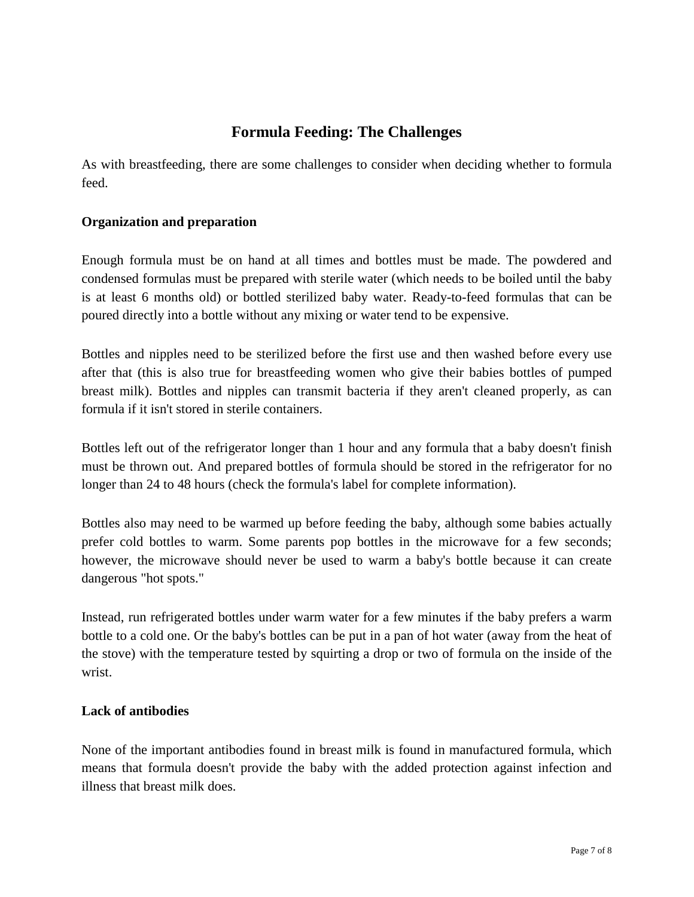# **Formula Feeding: The Challenges**

As with breastfeeding, there are some challenges to consider when deciding whether to formula feed.

## **Organization and preparation**

Enough formula must be on hand at all times and bottles must be made. The powdered and condensed formulas must be prepared with sterile water (which needs to be boiled until the baby is at least 6 months old) or bottled sterilized baby water. Ready-to-feed formulas that can be poured directly into a bottle without any mixing or water tend to be expensive.

Bottles and nipples need to be sterilized before the first use and then washed before every use after that (this is also true for breastfeeding women who give their babies bottles of pumped breast milk). Bottles and nipples can transmit bacteria if they aren't cleaned properly, as can formula if it isn't stored in sterile containers.

Bottles left out of the refrigerator longer than 1 hour and any formula that a baby doesn't finish must be thrown out. And prepared bottles of formula should be stored in the refrigerator for no longer than 24 to 48 hours (check the formula's label for complete information).

Bottles also may need to be warmed up before feeding the baby, although some babies actually prefer cold bottles to warm. Some parents pop bottles in the microwave for a few seconds; however, the microwave should never be used to warm a baby's bottle because it can create dangerous "hot spots."

Instead, run refrigerated bottles under warm water for a few minutes if the baby prefers a warm bottle to a cold one. Or the baby's bottles can be put in a pan of hot water (away from the heat of the stove) with the temperature tested by squirting a drop or two of formula on the inside of the wrist.

#### **Lack of antibodies**

None of the important antibodies found in breast milk is found in manufactured formula, which means that formula doesn't provide the baby with the added protection against infection and illness that breast milk does.